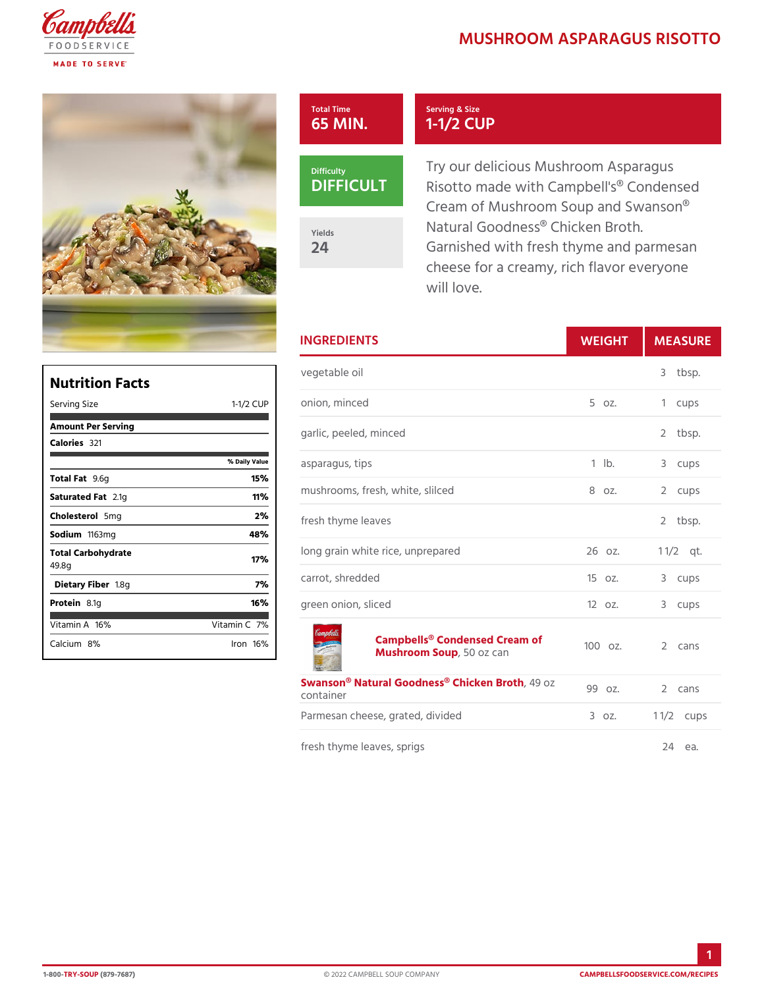## **MUSHROOM ASPARAGUS**

## Total Time 65 MIN.

DIFFICU

Yields 24

Try our delicious Mushroom Asp Risotto made with Campbell's® Cream of Mushroom Soup and S Natural Goodness® Chicken Bro Garnished with fresh thyme and cheese for a creamy, rich flavo will love.

|                                                           | <b>INGREDIENTS</b>                                              | WEIGH           | MEASU        |
|-----------------------------------------------------------|-----------------------------------------------------------------|-----------------|--------------|
|                                                           | vegetable oil                                                   |                 | 3 tbsp.      |
|                                                           | 1-1/2 CUP onion, minced                                         | $5 \text{ oz}.$ | 1 cups       |
| % Daily Value<br>15%<br>11%                               | garlic, peeled, minced                                          |                 | 2 tbsp.      |
|                                                           | asparagus, tips                                                 | $1$ $1b$ .      | 3 cups       |
|                                                           | mushrooms, fresh, white, slilced 8 oz.                          |                 | 2 cups       |
| 2%<br>48%                                                 | fresh thyme leaves                                              |                 | 2 tbsp.      |
| 17%<br>7 %<br>16%<br>tamin7 <b>C</b> 1<br>$l$ ron 16 $\%$ | long grain white rice, unprepared                               | 26 oz.          | $1 \t1/2$ t. |
|                                                           | carrot, shredded                                                | 15 oz.          | 3 cups       |
|                                                           | green onion, sliced                                             | $120z$ .        | 3 cups       |
|                                                           | Campbells® Condensed Cream of<br>Mushroom S50poz can            |                 | 2 cans       |
|                                                           | Swanson® Natural Goodness,®40 hoizken Broth 2 cans<br>container |                 |              |
|                                                           | Parmesan cheese, grated, divided 3 oz.                          |                 | 1 $1/2$ cups |
|                                                           | fresh thyme leaves, sprigs                                      |                 | 24 ea.       |

Serving & Size 1-1/2 CUP

| Nutrition Facts             |                    |  |  |  |  |
|-----------------------------|--------------------|--|--|--|--|
| Serving Size                | $1 - 1/2$<br>C U P |  |  |  |  |
| Amount Per Serving          |                    |  |  |  |  |
| Calorie3s21                 |                    |  |  |  |  |
|                             | % Daily Vallue     |  |  |  |  |
| Total Fat6g                 | 15%                |  |  |  |  |
| Saturated 2F. atg           | 11%                |  |  |  |  |
| Choleste <b>5 oni</b> g     | 2%                 |  |  |  |  |
| Sodium 163mg                | 48%                |  |  |  |  |
| Total Carbohydrate<br>49.8g | 17%                |  |  |  |  |
| Dietary F1ib&egr            | 7%                 |  |  |  |  |
| Protei&.1g                  | 16%                |  |  |  |  |
| Vitamin146%                 | Vitamin7 <b>%</b>  |  |  |  |  |
| Calciu&n%                   | $l$ ron 16 $\%$    |  |  |  |  |

1-80TORY-SO(U8F9-7687) © 2022 CAMPBELL SOUP COMPANY [CAMPBELLSFOODSERVICE](https://campbellsfoodservice.com/recipes).COM/R